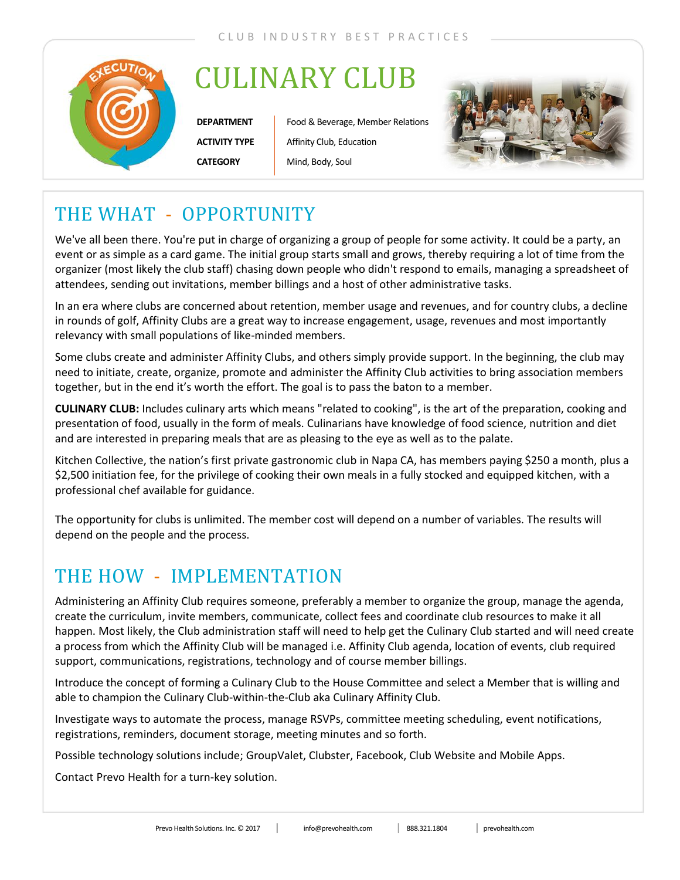

## CULINARY CLUB

**DEPARTMENT ACTIVITY TYPE CATEGORY**

Food & Beverage, Member Relations Affinity Club, Education Mind, Body, Soul



### THE WHAT - OPPORTUNITY

We've all been there. You're put in charge of organizing a group of people for some activity. It could be a party, an event or as simple as a card game. The initial group starts small and grows, thereby requiring a lot of time from the organizer (most likely the club staff) chasing down people who didn't respond to emails, managing a spreadsheet of attendees, sending out invitations, member billings and a host of other administrative tasks.

In an era where clubs are concerned about retention, member usage and revenues, and for country clubs, a decline in rounds of golf, Affinity Clubs are a great way to increase engagement, usage, revenues and most importantly relevancy with small populations of like-minded members.

Some clubs create and administer Affinity Clubs, and others simply provide support. In the beginning, the club may need to initiate, create, organize, promote and administer the Affinity Club activities to bring association members together, but in the end it's worth the effort. The goal is to pass the baton to a member.

**CULINARY CLUB:** Includes culinary arts which means "related to cooking", is the art of the preparation, cooking and presentation of food, usually in the form of meals. Culinarians have knowledge of food science, nutrition and diet and are interested in preparing meals that are as pleasing to the eye as well as to the palate.

Kitchen Collective, the nation's first private gastronomic club in Napa CA, has members paying \$250 a month, plus a \$2,500 initiation fee, for the privilege of cooking their own meals in a fully stocked and equipped kitchen, with a professional chef available for guidance.

The opportunity for clubs is unlimited. The member cost will depend on a number of variables. The results will depend on the people and the process.

#### THE HOW - IMPLEMENTATION

Administering an Affinity Club requires someone, preferably a member to organize the group, manage the agenda, create the curriculum, invite members, communicate, collect fees and coordinate club resources to make it all happen. Most likely, the Club administration staff will need to help get the Culinary Club started and will need create a process from which the Affinity Club will be managed i.e. Affinity Club agenda, location of events, club required support, communications, registrations, technology and of course member billings.

Introduce the concept of forming a Culinary Club to the House Committee and select a Member that is willing and able to champion the Culinary Club-within-the-Club aka Culinary Affinity Club.

Investigate ways to automate the process, manage RSVPs, committee meeting scheduling, event notifications, registrations, reminders, document storage, meeting minutes and so forth.

Possible technology solutions include; GroupValet, Clubster, Facebook, Club Website and Mobile Apps.

Contact Prevo Health for a turn-key solution.